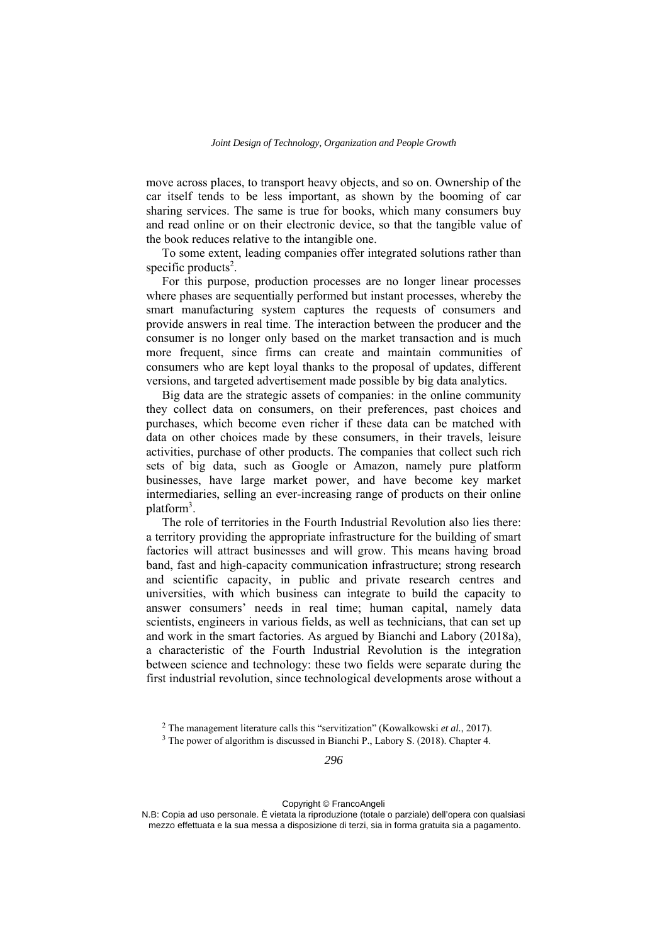move across places, to transport heavy objects, and so on. Ownership of the car itself tends to be less important, as shown by the booming of car sharing services. The same is true for books, which many consumers buy and read online or on their electronic device, so that the tangible value of the book reduces relative to the intangible one.

To some extent, leading companies offer integrated solutions rather than specific products<sup>2</sup>.

For this purpose, production processes are no longer linear processes where phases are sequentially performed but instant processes, whereby the smart manufacturing system captures the requests of consumers and provide answers in real time. The interaction between the producer and the consumer is no longer only based on the market transaction and is much more frequent, since firms can create and maintain communities of consumers who are kept loyal thanks to the proposal of updates, different versions, and targeted advertisement made possible by big data analytics.

Big data are the strategic assets of companies: in the online community they collect data on consumers, on their preferences, past choices and purchases, which become even richer if these data can be matched with data on other choices made by these consumers, in their travels, leisure activities, purchase of other products. The companies that collect such rich sets of big data, such as Google or Amazon, namely pure platform businesses, have large market power, and have become key market intermediaries, selling an ever-increasing range of products on their online platform<sup>3</sup>.

The role of territories in the Fourth Industrial Revolution also lies there: a territory providing the appropriate infrastructure for the building of smart factories will attract businesses and will grow. This means having broad band, fast and high-capacity communication infrastructure; strong research and scientific capacity, in public and private research centres and universities, with which business can integrate to build the capacity to answer consumers' needs in real time; human capital, namely data scientists, engineers in various fields, as well as technicians, that can set up and work in the smart factories. As argued by Bianchi and Labory (2018a), a characteristic of the Fourth Industrial Revolution is the integration between science and technology: these two fields were separate during the first industrial revolution, since technological developments arose without a

<sup>2</sup> The management literature calls this "servitization" (Kowalkowski *et al.*, 2017).

<sup>&</sup>lt;sup>3</sup> The power of algorithm is discussed in Bianchi P., Labory S. (2018). Chapter 4.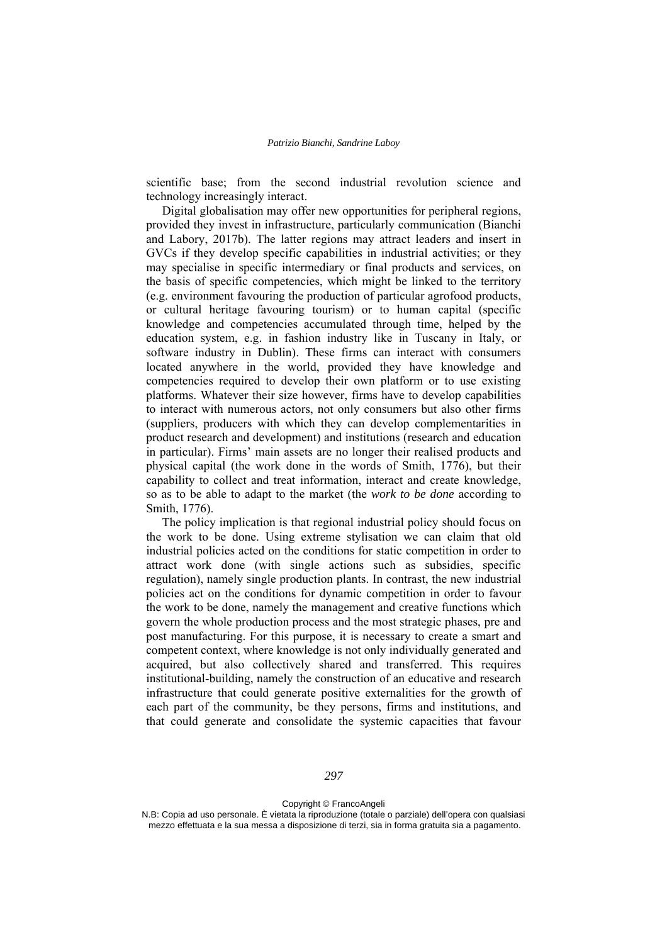scientific base; from the second industrial revolution science and technology increasingly interact.

Digital globalisation may offer new opportunities for peripheral regions, provided they invest in infrastructure, particularly communication (Bianchi and Labory, 2017b). The latter regions may attract leaders and insert in GVCs if they develop specific capabilities in industrial activities; or they may specialise in specific intermediary or final products and services, on the basis of specific competencies, which might be linked to the territory (e.g. environment favouring the production of particular agrofood products, or cultural heritage favouring tourism) or to human capital (specific knowledge and competencies accumulated through time, helped by the education system, e.g. in fashion industry like in Tuscany in Italy, or software industry in Dublin). These firms can interact with consumers located anywhere in the world, provided they have knowledge and competencies required to develop their own platform or to use existing platforms. Whatever their size however, firms have to develop capabilities to interact with numerous actors, not only consumers but also other firms (suppliers, producers with which they can develop complementarities in product research and development) and institutions (research and education in particular). Firms' main assets are no longer their realised products and physical capital (the work done in the words of Smith, 1776), but their capability to collect and treat information, interact and create knowledge, so as to be able to adapt to the market (the *work to be done* according to Smith, 1776).

The policy implication is that regional industrial policy should focus on the work to be done. Using extreme stylisation we can claim that old industrial policies acted on the conditions for static competition in order to attract work done (with single actions such as subsidies, specific regulation), namely single production plants. In contrast, the new industrial policies act on the conditions for dynamic competition in order to favour the work to be done, namely the management and creative functions which govern the whole production process and the most strategic phases, pre and post manufacturing. For this purpose, it is necessary to create a smart and competent context, where knowledge is not only individually generated and acquired, but also collectively shared and transferred. This requires institutional-building, namely the construction of an educative and research infrastructure that could generate positive externalities for the growth of each part of the community, be they persons, firms and institutions, and that could generate and consolidate the systemic capacities that favour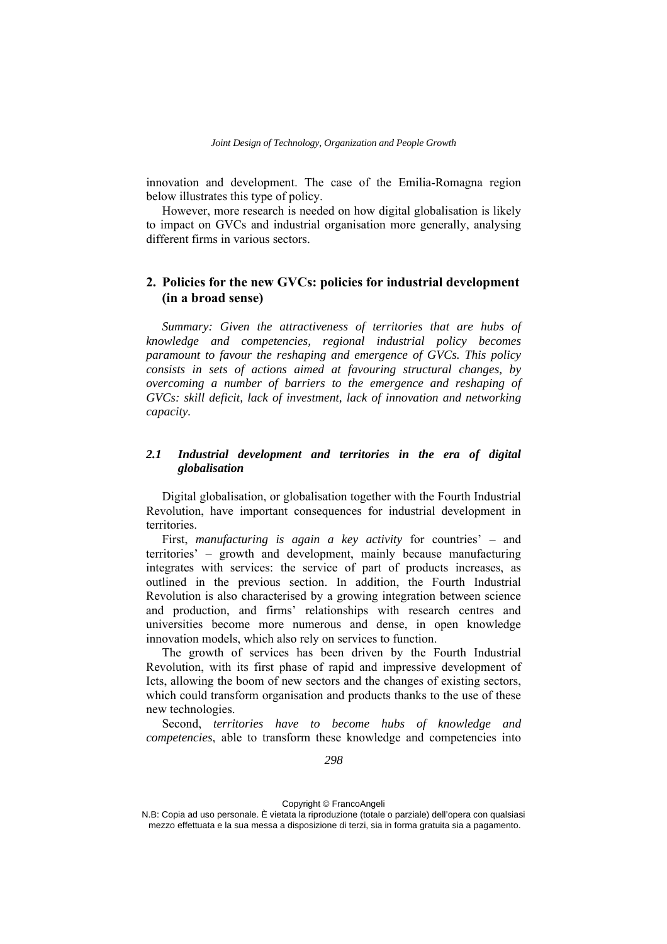innovation and development. The case of the Emilia-Romagna region below illustrates this type of policy.

However, more research is needed on how digital globalisation is likely to impact on GVCs and industrial organisation more generally, analysing different firms in various sectors.

# **2. Policies for the new GVCs: policies for industrial development (in a broad sense)**

*Summary: Given the attractiveness of territories that are hubs of knowledge and competencies, regional industrial policy becomes paramount to favour the reshaping and emergence of GVCs. This policy consists in sets of actions aimed at favouring structural changes, by overcoming a number of barriers to the emergence and reshaping of GVCs: skill deficit, lack of investment, lack of innovation and networking capacity.* 

## *2.1 Industrial development and territories in the era of digital globalisation*

Digital globalisation, or globalisation together with the Fourth Industrial Revolution, have important consequences for industrial development in territories.

First, *manufacturing is again a key activity* for countries' – and territories' – growth and development, mainly because manufacturing integrates with services: the service of part of products increases, as outlined in the previous section. In addition, the Fourth Industrial Revolution is also characterised by a growing integration between science and production, and firms' relationships with research centres and universities become more numerous and dense, in open knowledge innovation models, which also rely on services to function.

The growth of services has been driven by the Fourth Industrial Revolution, with its first phase of rapid and impressive development of Icts, allowing the boom of new sectors and the changes of existing sectors, which could transform organisation and products thanks to the use of these new technologies.

Second, *territories have to become hubs of knowledge and competencies*, able to transform these knowledge and competencies into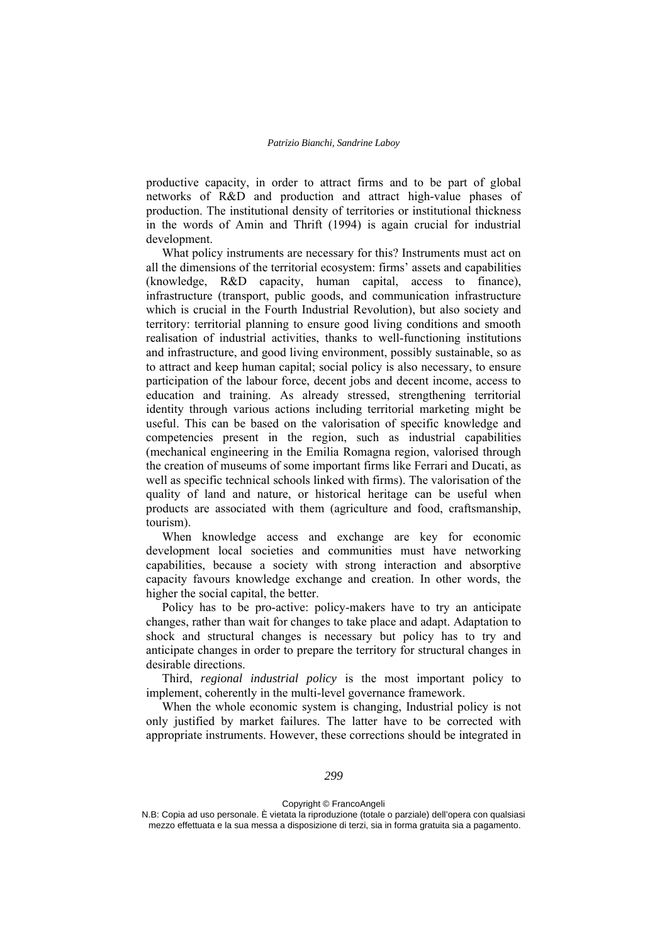productive capacity, in order to attract firms and to be part of global networks of R&D and production and attract high-value phases of production. The institutional density of territories or institutional thickness in the words of Amin and Thrift (1994) is again crucial for industrial development.

What policy instruments are necessary for this? Instruments must act on all the dimensions of the territorial ecosystem: firms' assets and capabilities (knowledge, R&D capacity, human capital, access to finance), infrastructure (transport, public goods, and communication infrastructure which is crucial in the Fourth Industrial Revolution), but also society and territory: territorial planning to ensure good living conditions and smooth realisation of industrial activities, thanks to well-functioning institutions and infrastructure, and good living environment, possibly sustainable, so as to attract and keep human capital; social policy is also necessary, to ensure participation of the labour force, decent jobs and decent income, access to education and training. As already stressed, strengthening territorial identity through various actions including territorial marketing might be useful. This can be based on the valorisation of specific knowledge and competencies present in the region, such as industrial capabilities (mechanical engineering in the Emilia Romagna region, valorised through the creation of museums of some important firms like Ferrari and Ducati, as well as specific technical schools linked with firms). The valorisation of the quality of land and nature, or historical heritage can be useful when products are associated with them (agriculture and food, craftsmanship, tourism).

When knowledge access and exchange are key for economic development local societies and communities must have networking capabilities, because a society with strong interaction and absorptive capacity favours knowledge exchange and creation. In other words, the higher the social capital, the better.

Policy has to be pro-active: policy-makers have to try an anticipate changes, rather than wait for changes to take place and adapt. Adaptation to shock and structural changes is necessary but policy has to try and anticipate changes in order to prepare the territory for structural changes in desirable directions.

Third, *regional industrial policy* is the most important policy to implement, coherently in the multi-level governance framework.

When the whole economic system is changing, Industrial policy is not only justified by market failures. The latter have to be corrected with appropriate instruments. However, these corrections should be integrated in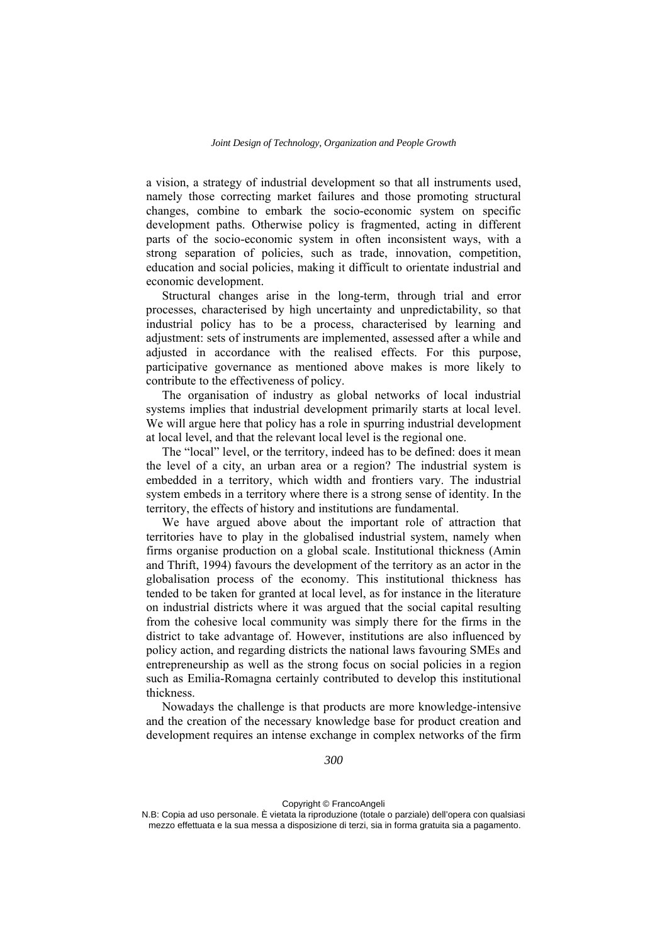a vision, a strategy of industrial development so that all instruments used, namely those correcting market failures and those promoting structural changes, combine to embark the socio-economic system on specific development paths. Otherwise policy is fragmented, acting in different parts of the socio-economic system in often inconsistent ways, with a strong separation of policies, such as trade, innovation, competition, education and social policies, making it difficult to orientate industrial and economic development.

Structural changes arise in the long-term, through trial and error processes, characterised by high uncertainty and unpredictability, so that industrial policy has to be a process, characterised by learning and adjustment: sets of instruments are implemented, assessed after a while and adjusted in accordance with the realised effects. For this purpose, participative governance as mentioned above makes is more likely to contribute to the effectiveness of policy.

The organisation of industry as global networks of local industrial systems implies that industrial development primarily starts at local level. We will argue here that policy has a role in spurring industrial development at local level, and that the relevant local level is the regional one.

The "local" level, or the territory, indeed has to be defined: does it mean the level of a city, an urban area or a region? The industrial system is embedded in a territory, which width and frontiers vary. The industrial system embeds in a territory where there is a strong sense of identity. In the territory, the effects of history and institutions are fundamental.

We have argued above about the important role of attraction that territories have to play in the globalised industrial system, namely when firms organise production on a global scale. Institutional thickness (Amin and Thrift, 1994) favours the development of the territory as an actor in the globalisation process of the economy. This institutional thickness has tended to be taken for granted at local level, as for instance in the literature on industrial districts where it was argued that the social capital resulting from the cohesive local community was simply there for the firms in the district to take advantage of. However, institutions are also influenced by policy action, and regarding districts the national laws favouring SMEs and entrepreneurship as well as the strong focus on social policies in a region such as Emilia-Romagna certainly contributed to develop this institutional thickness.

Nowadays the challenge is that products are more knowledge-intensive and the creation of the necessary knowledge base for product creation and development requires an intense exchange in complex networks of the firm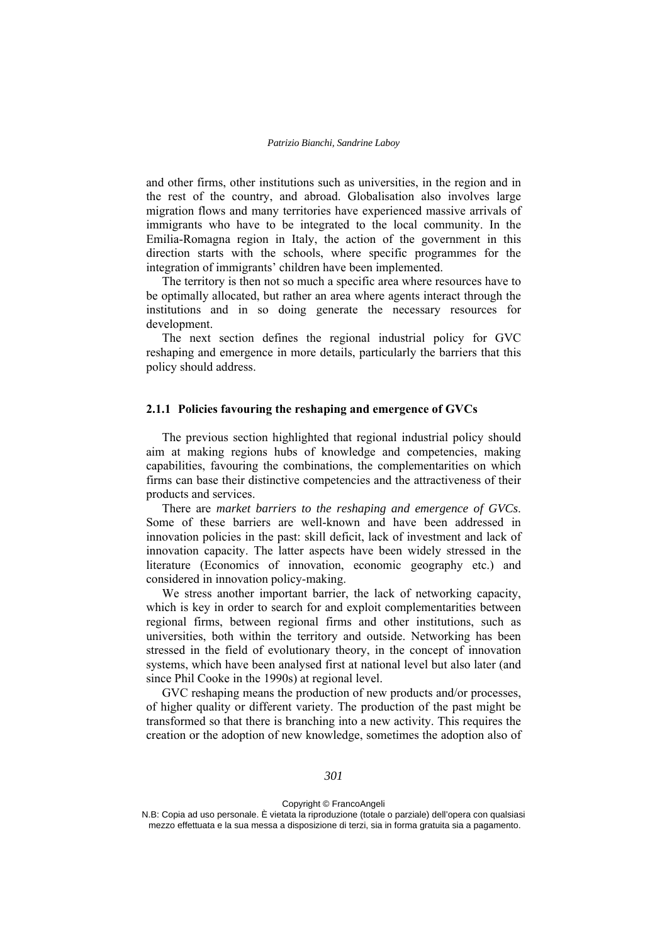and other firms, other institutions such as universities, in the region and in the rest of the country, and abroad. Globalisation also involves large migration flows and many territories have experienced massive arrivals of immigrants who have to be integrated to the local community. In the Emilia-Romagna region in Italy, the action of the government in this direction starts with the schools, where specific programmes for the integration of immigrants' children have been implemented.

The territory is then not so much a specific area where resources have to be optimally allocated, but rather an area where agents interact through the institutions and in so doing generate the necessary resources for development.

The next section defines the regional industrial policy for GVC reshaping and emergence in more details, particularly the barriers that this policy should address.

#### **2.1.1 Policies favouring the reshaping and emergence of GVCs**

The previous section highlighted that regional industrial policy should aim at making regions hubs of knowledge and competencies, making capabilities, favouring the combinations, the complementarities on which firms can base their distinctive competencies and the attractiveness of their products and services.

There are *market barriers to the reshaping and emergence of GVCs*. Some of these barriers are well-known and have been addressed in innovation policies in the past: skill deficit, lack of investment and lack of innovation capacity. The latter aspects have been widely stressed in the literature (Economics of innovation, economic geography etc.) and considered in innovation policy-making.

We stress another important barrier, the lack of networking capacity, which is key in order to search for and exploit complementarities between regional firms, between regional firms and other institutions, such as universities, both within the territory and outside. Networking has been stressed in the field of evolutionary theory, in the concept of innovation systems, which have been analysed first at national level but also later (and since Phil Cooke in the 1990s) at regional level.

GVC reshaping means the production of new products and/or processes, of higher quality or different variety. The production of the past might be transformed so that there is branching into a new activity. This requires the creation or the adoption of new knowledge, sometimes the adoption also of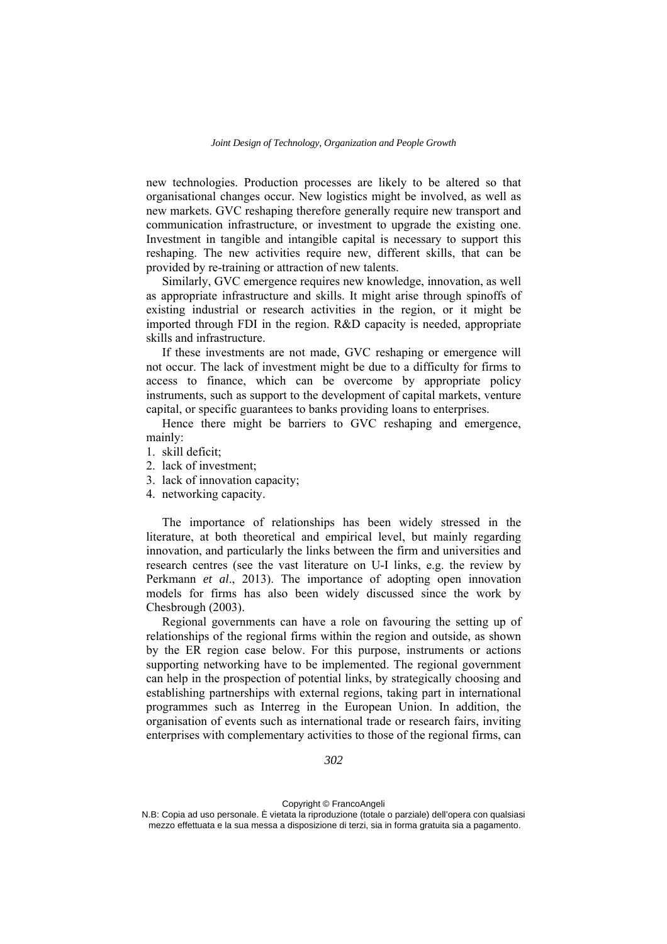new technologies. Production processes are likely to be altered so that organisational changes occur. New logistics might be involved, as well as new markets. GVC reshaping therefore generally require new transport and communication infrastructure, or investment to upgrade the existing one. Investment in tangible and intangible capital is necessary to support this reshaping. The new activities require new, different skills, that can be provided by re-training or attraction of new talents.

Similarly, GVC emergence requires new knowledge, innovation, as well as appropriate infrastructure and skills. It might arise through spinoffs of existing industrial or research activities in the region, or it might be imported through FDI in the region. R&D capacity is needed, appropriate skills and infrastructure.

If these investments are not made, GVC reshaping or emergence will not occur. The lack of investment might be due to a difficulty for firms to access to finance, which can be overcome by appropriate policy instruments, such as support to the development of capital markets, venture capital, or specific guarantees to banks providing loans to enterprises.

Hence there might be barriers to GVC reshaping and emergence, mainly:

- 1. skill deficit;
- 2. lack of investment;
- 3. lack of innovation capacity;
- 4. networking capacity.

The importance of relationships has been widely stressed in the literature, at both theoretical and empirical level, but mainly regarding innovation, and particularly the links between the firm and universities and research centres (see the vast literature on U-I links, e.g. the review by Perkmann *et al*., 2013). The importance of adopting open innovation models for firms has also been widely discussed since the work by Chesbrough (2003).

Regional governments can have a role on favouring the setting up of relationships of the regional firms within the region and outside, as shown by the ER region case below. For this purpose, instruments or actions supporting networking have to be implemented. The regional government can help in the prospection of potential links, by strategically choosing and establishing partnerships with external regions, taking part in international programmes such as Interreg in the European Union. In addition, the organisation of events such as international trade or research fairs, inviting enterprises with complementary activities to those of the regional firms, can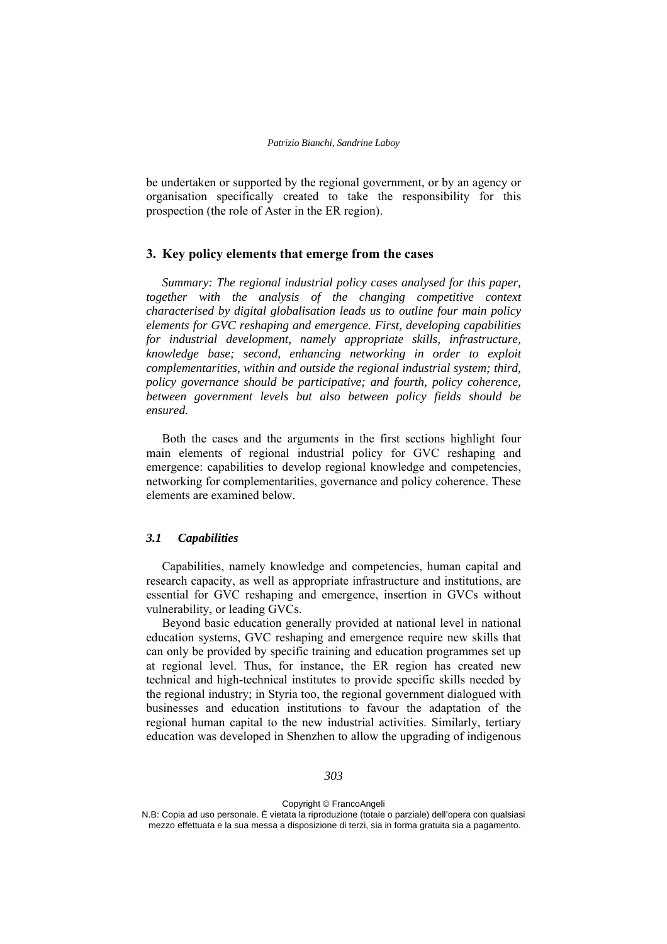be undertaken or supported by the regional government, or by an agency or organisation specifically created to take the responsibility for this prospection (the role of Aster in the ER region).

## **3. Key policy elements that emerge from the cases**

*Summary: The regional industrial policy cases analysed for this paper, together with the analysis of the changing competitive context characterised by digital globalisation leads us to outline four main policy elements for GVC reshaping and emergence. First, developing capabilities for industrial development, namely appropriate skills, infrastructure, knowledge base; second, enhancing networking in order to exploit complementarities, within and outside the regional industrial system; third, policy governance should be participative; and fourth, policy coherence, between government levels but also between policy fields should be ensured.* 

Both the cases and the arguments in the first sections highlight four main elements of regional industrial policy for GVC reshaping and emergence: capabilities to develop regional knowledge and competencies, networking for complementarities, governance and policy coherence. These elements are examined below.

#### *3.1 Capabilities*

Capabilities, namely knowledge and competencies, human capital and research capacity, as well as appropriate infrastructure and institutions, are essential for GVC reshaping and emergence, insertion in GVCs without vulnerability, or leading GVCs.

Beyond basic education generally provided at national level in national education systems, GVC reshaping and emergence require new skills that can only be provided by specific training and education programmes set up at regional level. Thus, for instance, the ER region has created new technical and high-technical institutes to provide specific skills needed by the regional industry; in Styria too, the regional government dialogued with businesses and education institutions to favour the adaptation of the regional human capital to the new industrial activities. Similarly, tertiary education was developed in Shenzhen to allow the upgrading of indigenous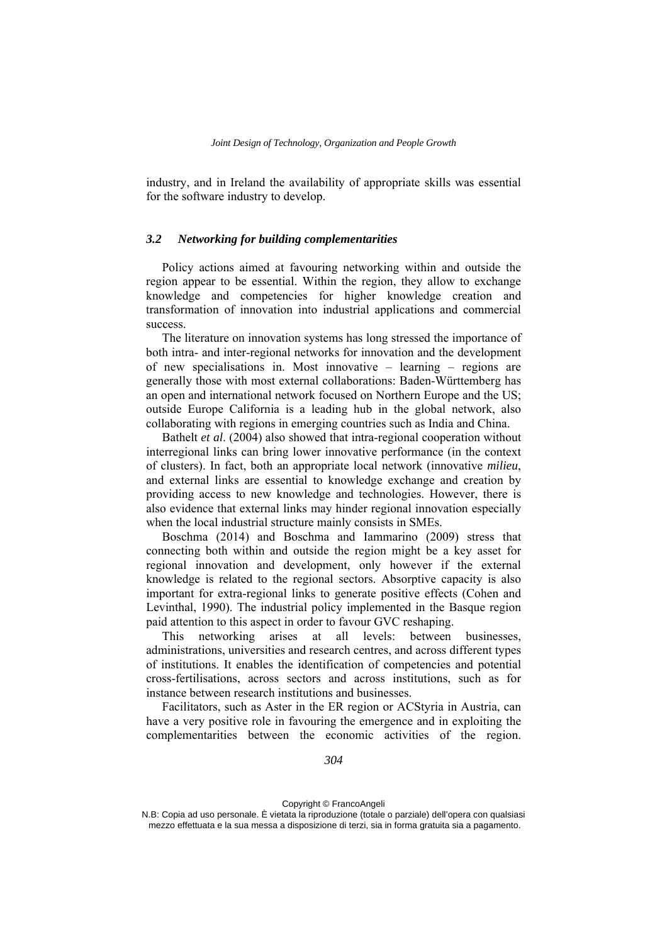industry, and in Ireland the availability of appropriate skills was essential for the software industry to develop.

## *3.2 Networking for building complementarities*

Policy actions aimed at favouring networking within and outside the region appear to be essential. Within the region, they allow to exchange knowledge and competencies for higher knowledge creation and transformation of innovation into industrial applications and commercial success.

The literature on innovation systems has long stressed the importance of both intra- and inter-regional networks for innovation and the development of new specialisations in. Most innovative – learning – regions are generally those with most external collaborations: Baden-Württemberg has an open and international network focused on Northern Europe and the US; outside Europe California is a leading hub in the global network, also collaborating with regions in emerging countries such as India and China.

Bathelt *et al*. (2004) also showed that intra-regional cooperation without interregional links can bring lower innovative performance (in the context of clusters). In fact, both an appropriate local network (innovative *milieu*, and external links are essential to knowledge exchange and creation by providing access to new knowledge and technologies. However, there is also evidence that external links may hinder regional innovation especially when the local industrial structure mainly consists in SMEs.

Boschma (2014) and Boschma and Iammarino (2009) stress that connecting both within and outside the region might be a key asset for regional innovation and development, only however if the external knowledge is related to the regional sectors. Absorptive capacity is also important for extra-regional links to generate positive effects (Cohen and Levinthal, 1990). The industrial policy implemented in the Basque region paid attention to this aspect in order to favour GVC reshaping.

This networking arises at all levels: between businesses, administrations, universities and research centres, and across different types of institutions. It enables the identification of competencies and potential cross-fertilisations, across sectors and across institutions, such as for instance between research institutions and businesses.

Facilitators, such as Aster in the ER region or ACStyria in Austria, can have a very positive role in favouring the emergence and in exploiting the complementarities between the economic activities of the region.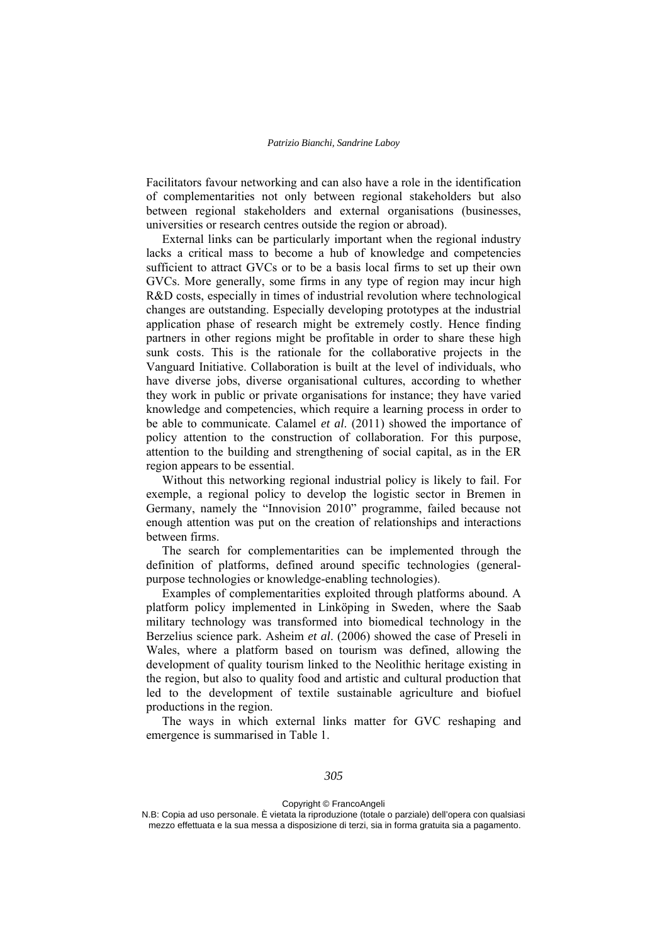Facilitators favour networking and can also have a role in the identification of complementarities not only between regional stakeholders but also between regional stakeholders and external organisations (businesses, universities or research centres outside the region or abroad).

External links can be particularly important when the regional industry lacks a critical mass to become a hub of knowledge and competencies sufficient to attract GVCs or to be a basis local firms to set up their own GVCs. More generally, some firms in any type of region may incur high R&D costs, especially in times of industrial revolution where technological changes are outstanding. Especially developing prototypes at the industrial application phase of research might be extremely costly. Hence finding partners in other regions might be profitable in order to share these high sunk costs. This is the rationale for the collaborative projects in the Vanguard Initiative. Collaboration is built at the level of individuals, who have diverse jobs, diverse organisational cultures, according to whether they work in public or private organisations for instance; they have varied knowledge and competencies, which require a learning process in order to be able to communicate. Calamel *et al*. (2011) showed the importance of policy attention to the construction of collaboration. For this purpose, attention to the building and strengthening of social capital, as in the ER region appears to be essential.

Without this networking regional industrial policy is likely to fail. For exemple, a regional policy to develop the logistic sector in Bremen in Germany, namely the "Innovision 2010" programme, failed because not enough attention was put on the creation of relationships and interactions between firms.

The search for complementarities can be implemented through the definition of platforms, defined around specific technologies (generalpurpose technologies or knowledge-enabling technologies).

Examples of complementarities exploited through platforms abound. A platform policy implemented in Linköping in Sweden, where the Saab military technology was transformed into biomedical technology in the Berzelius science park. Asheim *et al*. (2006) showed the case of Preseli in Wales, where a platform based on tourism was defined, allowing the development of quality tourism linked to the Neolithic heritage existing in the region, but also to quality food and artistic and cultural production that led to the development of textile sustainable agriculture and biofuel productions in the region.

The ways in which external links matter for GVC reshaping and emergence is summarised in Table 1.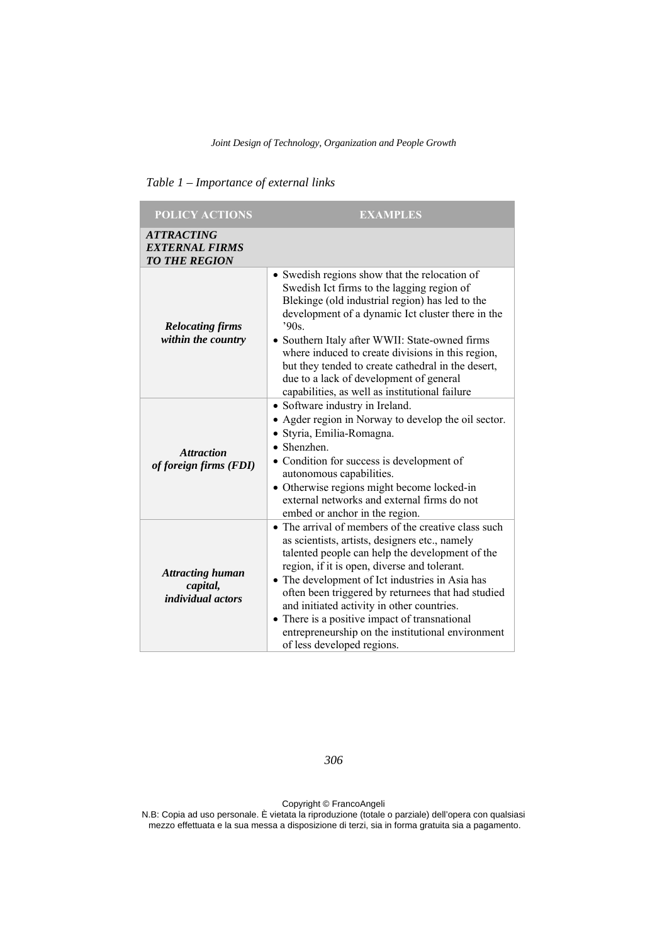| <b>POLICY ACTIONS</b>                                                     | <b>EXAMPLES</b>                                                                                                                                                                                                                                                                                                                                                                                                                                                                                     |  |  |
|---------------------------------------------------------------------------|-----------------------------------------------------------------------------------------------------------------------------------------------------------------------------------------------------------------------------------------------------------------------------------------------------------------------------------------------------------------------------------------------------------------------------------------------------------------------------------------------------|--|--|
| <i><b>ATTRACTING</b></i><br><b>EXTERNAL FIRMS</b><br><b>TO THE REGION</b> |                                                                                                                                                                                                                                                                                                                                                                                                                                                                                                     |  |  |
| <b>Relocating firms</b><br>within the country                             | • Swedish regions show that the relocation of<br>Swedish Ict firms to the lagging region of<br>Blekinge (old industrial region) has led to the<br>development of a dynamic Ict cluster there in the<br>.90s.<br>• Southern Italy after WWII: State-owned firms<br>where induced to create divisions in this region,<br>but they tended to create cathedral in the desert,<br>due to a lack of development of general<br>capabilities, as well as institutional failure                              |  |  |
| <b>Attraction</b><br>of foreign firms (FDI)                               | • Software industry in Ireland.<br>• Agder region in Norway to develop the oil sector.<br>· Styria, Emilia-Romagna.<br>• Shenzhen.<br>• Condition for success is development of<br>autonomous capabilities.<br>• Otherwise regions might become locked-in<br>external networks and external firms do not<br>embed or anchor in the region.                                                                                                                                                          |  |  |
| <b>Attracting human</b><br>capital,<br><i>individual actors</i>           | • The arrival of members of the creative class such<br>as scientists, artists, designers etc., namely<br>talented people can help the development of the<br>region, if it is open, diverse and tolerant.<br>• The development of Ict industries in Asia has<br>often been triggered by returnees that had studied<br>and initiated activity in other countries.<br>• There is a positive impact of transnational<br>entrepreneurship on the institutional environment<br>of less developed regions. |  |  |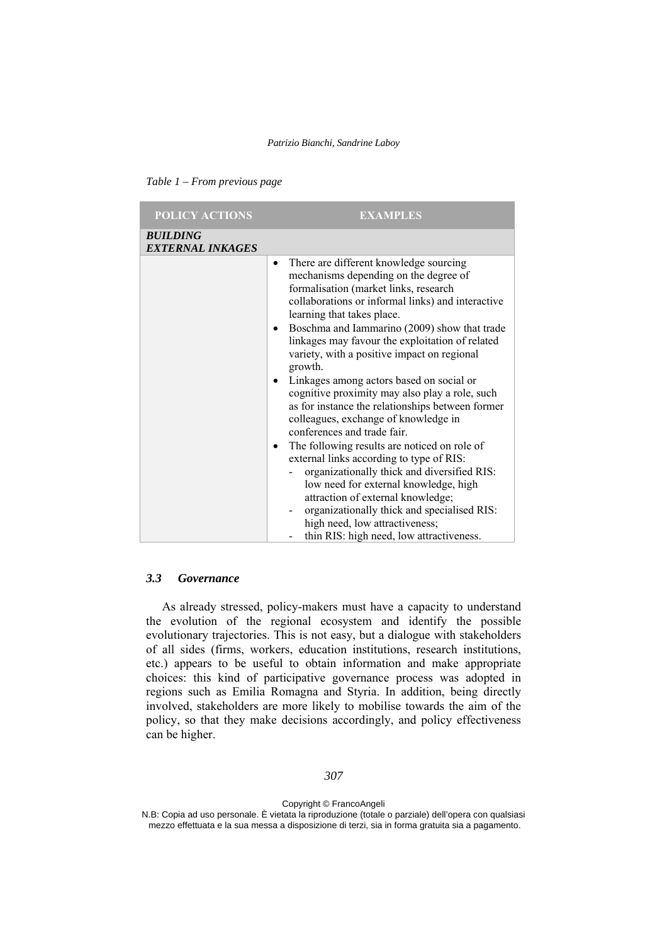| Table 1 – From previous page |  |
|------------------------------|--|
|------------------------------|--|

| <b>POLICY ACTIONS</b>                      | <b>EXAMPLES</b>                                                                                                                                                                                                                                                                                                                                                                                                                                                                                                                                                                                                                                                                                                                                                                                                                                                                                                                                                      |  |
|--------------------------------------------|----------------------------------------------------------------------------------------------------------------------------------------------------------------------------------------------------------------------------------------------------------------------------------------------------------------------------------------------------------------------------------------------------------------------------------------------------------------------------------------------------------------------------------------------------------------------------------------------------------------------------------------------------------------------------------------------------------------------------------------------------------------------------------------------------------------------------------------------------------------------------------------------------------------------------------------------------------------------|--|
| <b>BUILDING</b><br><b>EXTERNAL INKAGES</b> |                                                                                                                                                                                                                                                                                                                                                                                                                                                                                                                                                                                                                                                                                                                                                                                                                                                                                                                                                                      |  |
|                                            | There are different knowledge sourcing<br>$\bullet$<br>mechanisms depending on the degree of<br>formalisation (market links, research<br>collaborations or informal links) and interactive<br>learning that takes place.<br>Boschma and Iammarino (2009) show that trade<br>linkages may favour the exploitation of related<br>variety, with a positive impact on regional<br>growth.<br>Linkages among actors based on social or<br>cognitive proximity may also play a role, such<br>as for instance the relationships between former<br>colleagues, exchange of knowledge in<br>conferences and trade fair.<br>The following results are noticed on role of<br>external links according to type of RIS:<br>organizationally thick and diversified RIS:<br>low need for external knowledge, high<br>attraction of external knowledge;<br>organizationally thick and specialised RIS:<br>high need, low attractiveness;<br>thin RIS: high need, low attractiveness. |  |

#### *3.3 Governance*

As already stressed, policy-makers must have a capacity to understand the evolution of the regional ecosystem and identify the possible evolutionary trajectories. This is not easy, but a dialogue with stakeholders of all sides (firms, workers, education institutions, research institutions, etc.) appears to be useful to obtain information and make appropriate choices: this kind of participative governance process was adopted in regions such as Emilia Romagna and Styria. In addition, being directly involved, stakeholders are more likely to mobilise towards the aim of the policy, so that they make decisions accordingly, and policy effectiveness can be higher.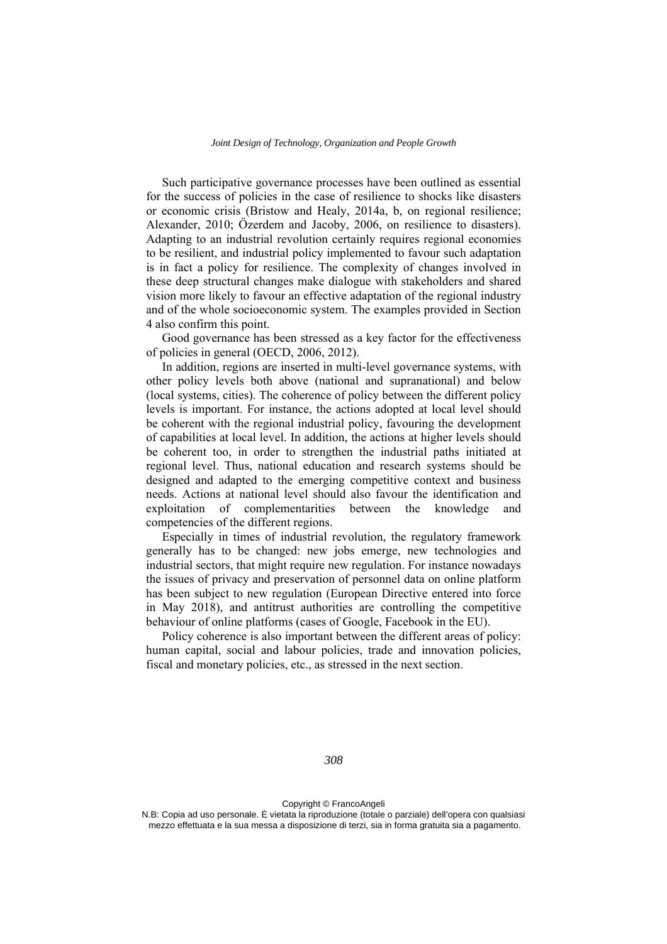Such participative governance processes have been outlined as essential for the success of policies in the case of resilience to shocks like disasters or economic crisis (Bristow and Healy, 2014a, b, on regional resilience; Alexander, 2010; Őzerdem and Jacoby, 2006, on resilience to disasters). Adapting to an industrial revolution certainly requires regional economies to be resilient, and industrial policy implemented to favour such adaptation is in fact a policy for resilience. The complexity of changes involved in these deep structural changes make dialogue with stakeholders and shared vision more likely to favour an effective adaptation of the regional industry and of the whole socioeconomic system. The examples provided in Section 4 also confirm this point.

Good governance has been stressed as a key factor for the effectiveness of policies in general (OECD, 2006, 2012).

In addition, regions are inserted in multi-level governance systems, with other policy levels both above (national and supranational) and below (local systems, cities). The coherence of policy between the different policy levels is important. For instance, the actions adopted at local level should be coherent with the regional industrial policy, favouring the development of capabilities at local level. In addition, the actions at higher levels should be coherent too, in order to strengthen the industrial paths initiated at regional level. Thus, national education and research systems should be designed and adapted to the emerging competitive context and business needs. Actions at national level should also favour the identification and exploitation of complementarities between the knowledge and competencies of the different regions.

Especially in times of industrial revolution, the regulatory framework generally has to be changed: new jobs emerge, new technologies and industrial sectors, that might require new regulation. For instance nowadays the issues of privacy and preservation of personnel data on online platform has been subject to new regulation (European Directive entered into force in May 2018), and antitrust authorities are controlling the competitive behaviour of online platforms (cases of Google, Facebook in the EU).

Policy coherence is also important between the different areas of policy: human capital, social and labour policies, trade and innovation policies, fiscal and monetary policies, etc., as stressed in the next section.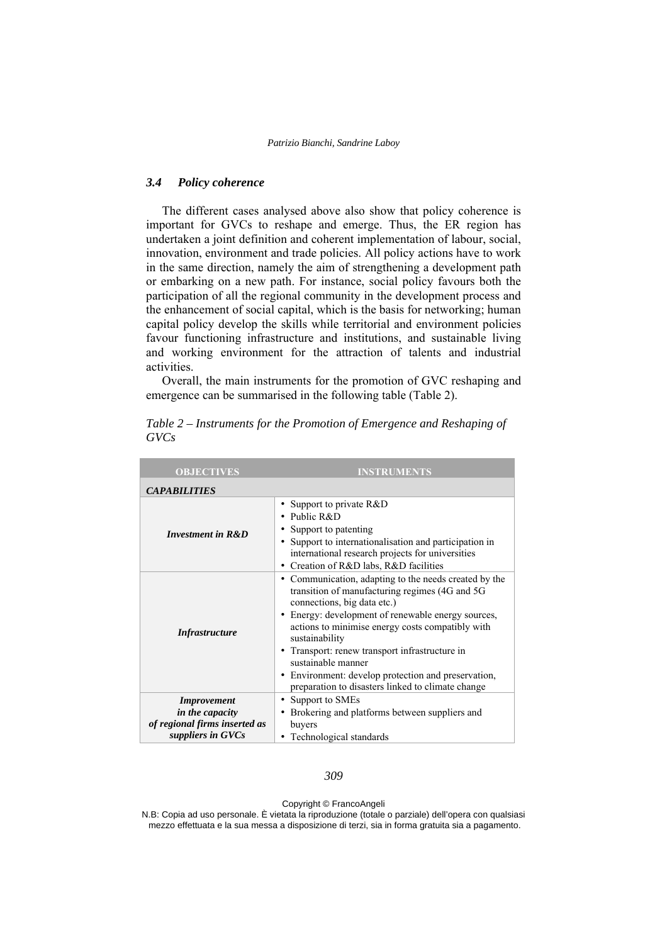#### *3.4 Policy coherence*

The different cases analysed above also show that policy coherence is important for GVCs to reshape and emerge. Thus, the ER region has undertaken a joint definition and coherent implementation of labour, social, innovation, environment and trade policies. All policy actions have to work in the same direction, namely the aim of strengthening a development path or embarking on a new path. For instance, social policy favours both the participation of all the regional community in the development process and the enhancement of social capital, which is the basis for networking; human capital policy develop the skills while territorial and environment policies favour functioning infrastructure and institutions, and sustainable living and working environment for the attraction of talents and industrial activities.

Overall, the main instruments for the promotion of GVC reshaping and emergence can be summarised in the following table (Table 2).

| <b>OBJECTIVES</b>                                                                           | <b>INSTRUMENTS</b>                                                                                                                                                                                                                                                                                                                                                                                                                                              |  |
|---------------------------------------------------------------------------------------------|-----------------------------------------------------------------------------------------------------------------------------------------------------------------------------------------------------------------------------------------------------------------------------------------------------------------------------------------------------------------------------------------------------------------------------------------------------------------|--|
| <b>CAPABILITIES</b>                                                                         |                                                                                                                                                                                                                                                                                                                                                                                                                                                                 |  |
| <b>Investment in R&amp;D</b>                                                                | • Support to private R&D<br>• Public R&D<br>Support to patenting<br>• Support to internationalisation and participation in<br>international research projects for universities<br>Creation of R&D labs, R&D facilities                                                                                                                                                                                                                                          |  |
| <i>Infrastructure</i>                                                                       | • Communication, adapting to the needs created by the<br>transition of manufacturing regimes (4G and 5G<br>connections, big data etc.)<br>Energy: development of renewable energy sources,<br>actions to minimise energy costs compatibly with<br>sustainability<br>• Transport: renew transport infrastructure in<br>sustainable manner<br>Environment: develop protection and preservation,<br>$\bullet$<br>preparation to disasters linked to climate change |  |
| <b>Improvement</b><br>in the capacity<br>of regional firms inserted as<br>suppliers in GVCs | • Support to SMEs<br>• Brokering and platforms between suppliers and<br>buyers<br>Technological standards                                                                                                                                                                                                                                                                                                                                                       |  |

*Table 2 – Instruments for the Promotion of Emergence and Reshaping of GVCs*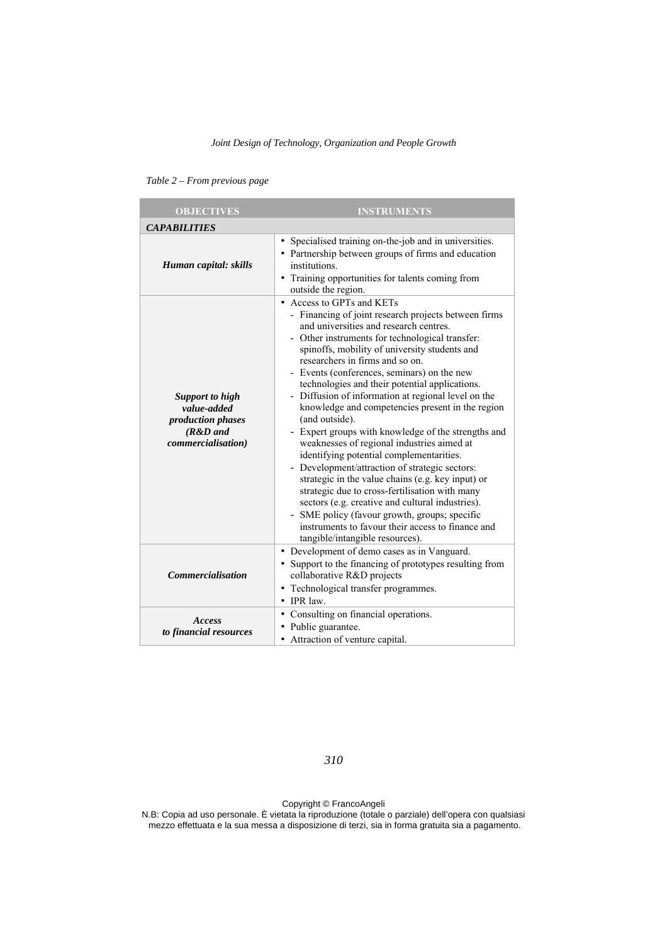| <b>OBJECTIVES</b>                                                                              | <b>INSTRUMENTS</b>                                                                                                                                                                                                                                                                                                                                                                                                                                                                                                                                                                                                                                                                                                                                                                                                                                                                                                                                                                                      |  |  |
|------------------------------------------------------------------------------------------------|---------------------------------------------------------------------------------------------------------------------------------------------------------------------------------------------------------------------------------------------------------------------------------------------------------------------------------------------------------------------------------------------------------------------------------------------------------------------------------------------------------------------------------------------------------------------------------------------------------------------------------------------------------------------------------------------------------------------------------------------------------------------------------------------------------------------------------------------------------------------------------------------------------------------------------------------------------------------------------------------------------|--|--|
| <b>CAPABILITIES</b>                                                                            |                                                                                                                                                                                                                                                                                                                                                                                                                                                                                                                                                                                                                                                                                                                                                                                                                                                                                                                                                                                                         |  |  |
| Human capital: skills                                                                          | • Specialised training on-the-job and in universities.<br>• Partnership between groups of firms and education<br>institutions.<br>• Training opportunities for talents coming from<br>outside the region.                                                                                                                                                                                                                                                                                                                                                                                                                                                                                                                                                                                                                                                                                                                                                                                               |  |  |
| <b>Support to high</b><br>value-added<br>production phases<br>$(R&D$ and<br>commercialisation) | • Access to GPTs and KETs<br>- Financing of joint research projects between firms<br>and universities and research centres.<br>- Other instruments for technological transfer:<br>spinoffs, mobility of university students and<br>researchers in firms and so on.<br>- Events (conferences, seminars) on the new<br>technologies and their potential applications.<br>- Diffusion of information at regional level on the<br>knowledge and competencies present in the region<br>(and outside).<br>- Expert groups with knowledge of the strengths and<br>weaknesses of regional industries aimed at<br>identifying potential complementarities.<br>- Development/attraction of strategic sectors:<br>strategic in the value chains (e.g. key input) or<br>strategic due to cross-fertilisation with many<br>sectors (e.g. creative and cultural industries).<br>- SME policy (favour growth, groups; specific<br>instruments to favour their access to finance and<br>tangible/intangible resources). |  |  |
| <b>Commercialisation</b>                                                                       | • Development of demo cases as in Vanguard.<br>• Support to the financing of prototypes resulting from<br>collaborative R&D projects<br>• Technological transfer programmes.<br>IPR law.                                                                                                                                                                                                                                                                                                                                                                                                                                                                                                                                                                                                                                                                                                                                                                                                                |  |  |
| Access<br>to financial resources                                                               | • Consulting on financial operations.<br>• Public guarantee.<br>• Attraction of venture capital.                                                                                                                                                                                                                                                                                                                                                                                                                                                                                                                                                                                                                                                                                                                                                                                                                                                                                                        |  |  |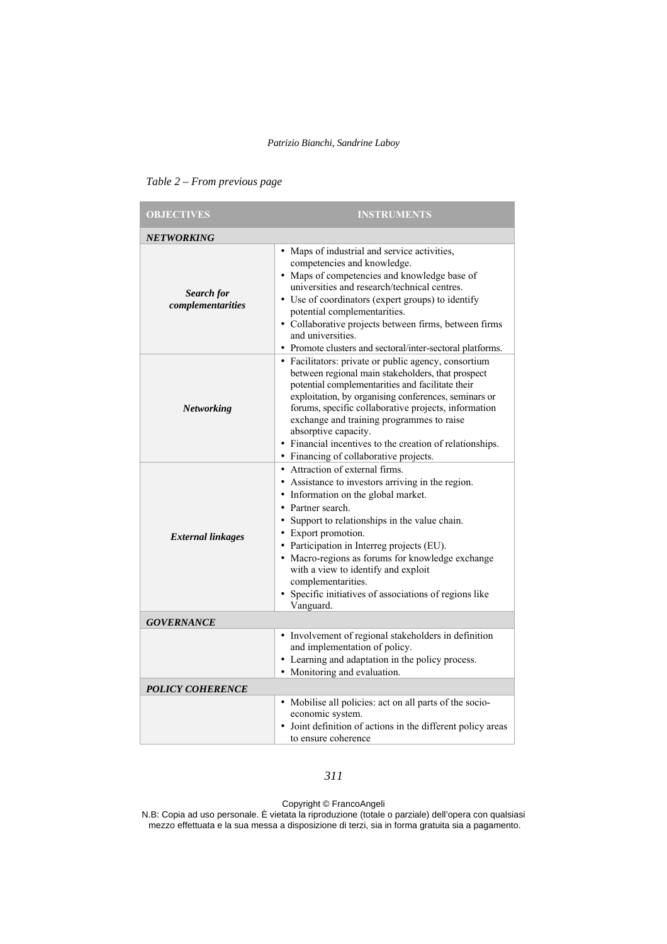| <b>OBJECTIVES</b>               | <b>INSTRUMENTS</b>                                                                                                                                                                                                                                                                                                                                                                                                                                                                                        |  |
|---------------------------------|-----------------------------------------------------------------------------------------------------------------------------------------------------------------------------------------------------------------------------------------------------------------------------------------------------------------------------------------------------------------------------------------------------------------------------------------------------------------------------------------------------------|--|
| <b>NETWORKING</b>               |                                                                                                                                                                                                                                                                                                                                                                                                                                                                                                           |  |
| Search for<br>complementarities | • Maps of industrial and service activities,<br>competencies and knowledge.<br>• Maps of competencies and knowledge base of<br>universities and research/technical centres.<br>• Use of coordinators (expert groups) to identify<br>potential complementarities.<br>· Collaborative projects between firms, between firms<br>and universities.<br>• Promote clusters and sectoral/inter-sectoral platforms.                                                                                               |  |
| Networking                      | • Facilitators: private or public agency, consortium<br>between regional main stakeholders, that prospect<br>potential complementarities and facilitate their<br>exploitation, by organising conferences, seminars or<br>forums, specific collaborative projects, information<br>exchange and training programmes to raise<br>absorptive capacity.<br>• Financial incentives to the creation of relationships.                                                                                            |  |
| <b>External linkages</b>        | • Financing of collaborative projects.<br>• Attraction of external firms.<br>• Assistance to investors arriving in the region.<br>• Information on the global market.<br>• Partner search.<br>• Support to relationships in the value chain.<br>• Export promotion.<br>• Participation in Interreg projects (EU).<br>• Macro-regions as forums for knowledge exchange<br>with a view to identify and exploit<br>complementarities.<br>• Specific initiatives of associations of regions like<br>Vanguard. |  |
| <b>GOVERNANCE</b>               |                                                                                                                                                                                                                                                                                                                                                                                                                                                                                                           |  |
| <b>POLICY COHERENCE</b>         | • Involvement of regional stakeholders in definition<br>and implementation of policy.<br>• Learning and adaptation in the policy process.<br>• Monitoring and evaluation.                                                                                                                                                                                                                                                                                                                                 |  |
|                                 | • Mobilise all policies: act on all parts of the socio-<br>economic system.<br>• Joint definition of actions in the different policy areas<br>to ensure coherence                                                                                                                                                                                                                                                                                                                                         |  |

|  | Table 2 – From previous page |  |  |
|--|------------------------------|--|--|
|--|------------------------------|--|--|

# *311*

Copyright © FrancoAngeli This work is released under Creative Commons Attribution - Non-Commercial - NoDerivatives License. For terms and conditions of usage please see: http://creativecommons.org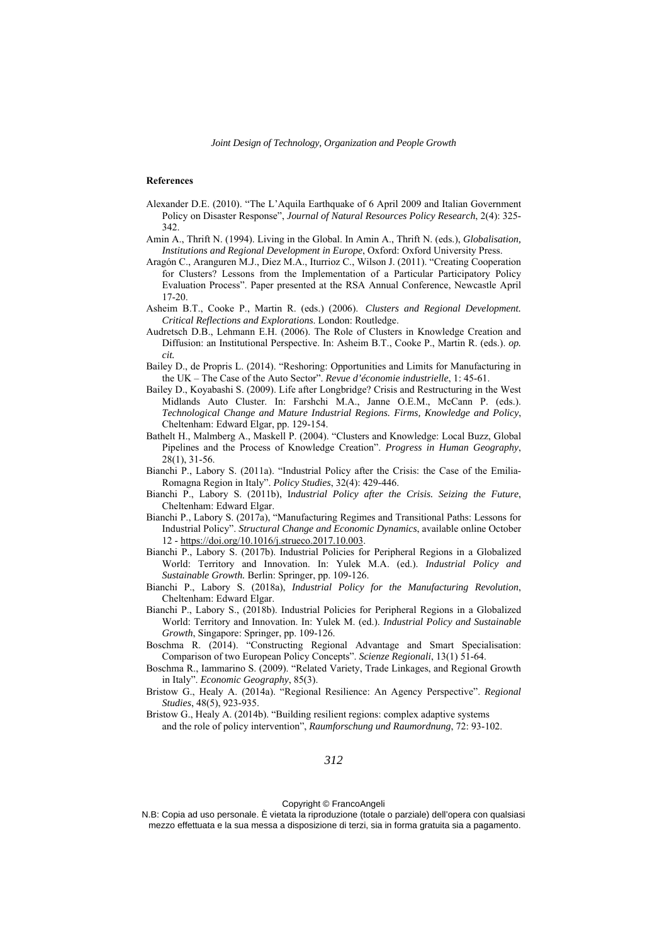#### **References**

- Alexander D.E. (2010). "The L'Aquila Earthquake of 6 April 2009 and Italian Government Policy on Disaster Response", *Journal of Natural Resources Policy Research*, 2(4): 325- 342.
- Amin A., Thrift N. (1994). Living in the Global. In Amin A., Thrift N. (eds.), *Globalisation, Institutions and Regional Development in Europe*, Oxford: Oxford University Press.
- Aragón C., Aranguren M.J., Diez M.A., Iturrioz C., Wilson J. (2011). "Creating Cooperation for Clusters? Lessons from the Implementation of a Particular Participatory Policy Evaluation Process". Paper presented at the RSA Annual Conference, Newcastle April 17-20.
- Asheim B.T., Cooke P., Martin R. (eds.) (2006). *Clusters and Regional Development. Critical Reflections and Explorations*. London: Routledge.
- Audretsch D.B., Lehmann E.H. (2006). The Role of Clusters in Knowledge Creation and Diffusion: an Institutional Perspective. In: Asheim B.T., Cooke P., Martin R. (eds.). *op. cit.*
- Bailey D., de Propris L. (2014). "Reshoring: Opportunities and Limits for Manufacturing in the UK – The Case of the Auto Sector". *Revue d'économie industrielle*, 1: 45-61.
- Bailey D., Koyabashi S. (2009). Life after Longbridge? Crisis and Restructuring in the West Midlands Auto Cluster. In: Farshchi M.A., Janne O.E.M., McCann P. (eds.). *Technological Change and Mature Industrial Regions. Firms, Knowledge and Policy*, Cheltenham: Edward Elgar, pp. 129-154.
- Bathelt H., Malmberg A., Maskell P. (2004). "Clusters and Knowledge: Local Buzz, Global Pipelines and the Process of Knowledge Creation". *Progress in Human Geography*, 28(1), 31-56.
- Bianchi P., Labory S. (2011a). "Industrial Policy after the Crisis: the Case of the Emilia-Romagna Region in Italy". *Policy Studies*, 32(4): 429-446.
- Bianchi P., Labory S. (2011b), I*ndustrial Policy after the Crisis. Seizing the Future*, Cheltenham: Edward Elgar.
- Bianchi P., Labory S. (2017a), "Manufacturing Regimes and Transitional Paths: Lessons for Industrial Policy". *Structural Change and Economic Dynamics*, available online October 12 - https://doi.org/10.1016/j.strueco.2017.10.003.
- Bianchi P., Labory S. (2017b). Industrial Policies for Peripheral Regions in a Globalized World: Territory and Innovation. In: Yulek M.A. (ed.). *Industrial Policy and Sustainable Growth.* Berlin: Springer, pp. 109-126.
- Bianchi P., Labory S. (2018a), *Industrial Policy for the Manufacturing Revolution*, Cheltenham: Edward Elgar.
- Bianchi P., Labory S., (2018b). Industrial Policies for Peripheral Regions in a Globalized World: Territory and Innovation. In: Yulek M. (ed.). *Industrial Policy and Sustainable Growth*, Singapore: Springer, pp. 109-126.
- Boschma R. (2014). "Constructing Regional Advantage and Smart Specialisation: Comparison of two European Policy Concepts". *Scienze Regionali*, 13(1) 51-64.
- Boschma R., Iammarino S. (2009). "Related Variety, Trade Linkages, and Regional Growth in Italy". *Economic Geography*, 85(3).
- Bristow G., Healy A. (2014a). "Regional Resilience: An Agency Perspective". *Regional Studies*, 48(5), 923-935.
- Bristow G., Healy A. (2014b). "Building resilient regions: complex adaptive systems and the role of policy intervention", *Raumforschung und Raumordnung*, 72: 93-102.

Copyright © FrancoAngeli This work is released under Creative Commons Attribution - Non-Commercial - NoDerivatives License. For terms and conditions of usage please see: http://creativecommons.org